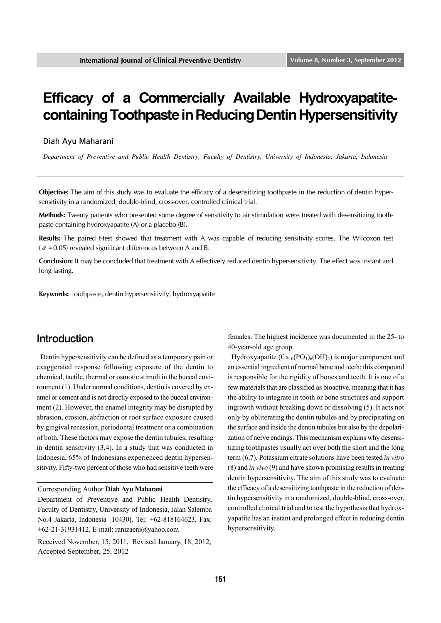# **Efficacy of a Commercially Available Hydroxyapatitecontaining Toothpaste in Reducing Dentin Hypersensitivity**

Diah Ayu Maharani

*Department of Preventive and Public Health Dentistry, Faculty of Dentistry, University of Indonesia, Jakarta, Indonesia*

**Objective:** The aim of this study was to evaluate the efficacy of a desensitizing toothpaste in the reduction of dentin hypersensitivity in a randomized, double-blind, cross-over, controlled clinical trial.

**Methods:** Twenty patients who presented some degree of sensitivity to air stimulation were treated with desensitizing toothpaste containing hydroxyapatite (A) or a placebo (B).

**Results:** The paired t-test showed that treatment with A was capable of reducing sensitivity scores. The Wilcoxon test ( $\alpha$  = 0.05) revealed significant differences between A and B.

**Conclusion:** It may be concluded that treatment with A effectively reduced dentin hypersensitivity. The effect was instant and long lasting.

**Keywords:** toothpaste, dentin hypersensitivity, hydroxyapatite

#### Introduction

Dentin hypersensitivity can be defined as a temporary pain or exaggerated response following exposure of the dentin to chemical, tactile, thermal or osmotic stimuli in the buccal environment (1). Under normal conditions, dentin is covered by enamel or cement and is not directly exposed to the buccal environment (2). However, the enamel integrity may be disrupted by abrasion, erosion, abfraction or root surface exposure caused by gingival recession, periodontal treatment or a combination of both. These factors may expose the dentin tubules, resulting in dentin sensitivity (3,4). In a study that was conducted in Indonesia, 65% of Indonesians experienced dentin hypersensitivity. Fifty-two percent of those who had sensitive teeth were

Corresponding Author **Diah Ayu Maharani**

Department of Preventive and Public Health Dentistry, Faculty of Dentistry, University of Indonesia, Jalan Salemba No.4 Jakarta, Indonesia [10430]. Tel: +62-818164623, Fax: +62-21-31931412, E-mail: ranizaeni@yahoo.com

Received November, 15, 2011, Revised January, 18, 2012, Accepted September, 25, 2012

females. The highest incidence was documented in the 25- to 40-year-old age group.

Hydroxyapatite  $(Ca_{10}(PO_4)_6(OH)_2)$  is major component and an essential ingredient of normal bone and teeth; this compound is responsible for the rigidity of bones and teeth. It is one of a few materials that are classified as bioactive, meaning that it has the ability to integrate in tooth or bone structures and support ingrowth without breaking down or dissolving (5). It acts not only by obliterating the dentin tubules and by precipitating on the surface and inside the dentin tubules but also by the depolarization of nerve endings. This mechanism explains why desensitizing toothpastes usually act over both the short and the long term (6,7). Potassium citrate solutions have been tested *in vitro*  (8) and *in vivo* (9) and have shown promising results in treating dentin hypersensitivity. The aim of this study was to evaluate the efficacy of a desensitizing toothpaste in the reduction of dentin hypersensitivity in a randomized, double-blind, cross-over, controlled clinical trial and to test the hypothesis that hydroxyapatite has an instant and prolonged effect in reducing dentin hypersensitivity.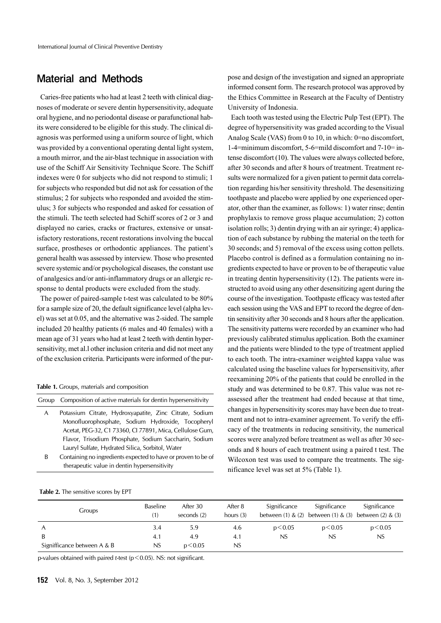### Material and Methods

Caries-free patients who had at least 2 teeth with clinical diagnoses of moderate or severe dentin hypersensitivity, adequate oral hygiene, and no periodontal disease or parafunctional habits were considered to be eligible for this study. The clinical diagnosis was performed using a uniform source of light, which was provided by a conventional operating dental light system, a mouth mirror, and the air-blast technique in association with use of the Schiff Air Sensitivity Technique Score. The Schiff indexes were 0 for subjects who did not respond to stimuli; 1 for subjects who responded but did not ask for cessation of the stimulus; 2 for subjects who responded and avoided the stimulus; 3 for subjects who responded and asked for cessation of the stimuli. The teeth selected had Schiff scores of 2 or 3 and displayed no caries, cracks or fractures, extensive or unsatisfactory restorations, recent restorations involving the buccal surface, prostheses or orthodontic appliances. The patient's general health was assessed by interview. Those who presented severe systemic and/or psychological diseases, the constant use of analgesics and/or anti-inflammatory drugs or an allergic response to dental products were excluded from the study.

The power of paired-sample t-test was calculated to be 80% for a sample size of 20, the default significance level (alpha level) was set at 0.05, and the alternative was 2-sided. The sample included 20 healthy patients (6 males and 40 females) with a mean age of 31 years who had at least 2 teeth with dentin hypersensitivity, met al.l other inclusion criteria and did not meet any of the exclusion criteria. Participants were informed of the pur-

**Table 1.** Groups, materials and composition

|   | Group Composition of active materials for dentin hypersensitivity |  |  |  |  |  |  |  |  |
|---|-------------------------------------------------------------------|--|--|--|--|--|--|--|--|
| A | Potassium Citrate, Hydroxyapatite, Zinc Citrate, Sodium           |  |  |  |  |  |  |  |  |
|   | Monofluorophosphate, Sodium Hydroxide, Tocopheryl                 |  |  |  |  |  |  |  |  |
|   | Acetat, PEG-32, C1 73360, CI 77891, Mica, Cellulose Gum,          |  |  |  |  |  |  |  |  |
|   | Flavor, Trisodium Phosphate, Sodium Saccharin, Sodium             |  |  |  |  |  |  |  |  |
|   | Lauryl Sulfate, Hydrated Silica, Sorbitol, Water                  |  |  |  |  |  |  |  |  |
|   | $\epsilon$                                                        |  |  |  |  |  |  |  |  |

B Containing no ingredients expected to have or proven to be of therapeutic value in dentin hypersensitivity

#### **Table 2.** The sensitive scores by EPT

pose and design of the investigation and signed an appropriate informed consent form. The research protocol was approved by the Ethics Committee in Research at the Faculty of Dentistry University of Indonesia.

Each tooth was tested using the Electric Pulp Test (EPT). The degree of hypersensitivity was graded according to the Visual Analog Scale (VAS) from 0 to 10, in which: 0=no discomfort, 1-4=minimum discomfort, 5-6=mild discomfort and 7-10= intense discomfort (10). The values were always collected before, after 30 seconds and after 8 hours of treatment. Treatment results were normalized for a given patient to permit data correlation regarding his/her sensitivity threshold. The desensitizing toothpaste and placebo were applied by one experienced operator, other than the examiner, as follows: 1) water rinse; dentin prophylaxis to remove gross plaque accumulation; 2) cotton isolation rolls; 3) dentin drying with an air syringe; 4) application of each substance by rubbing the material on the teeth for 30 seconds; and 5) removal of the excess using cotton pellets. Placebo control is defined as a formulation containing no ingredients expected to have or proven to be of therapeutic value in treating dentin hypersensitivity (12). The patients were instructed to avoid using any other desensitizing agent during the course of the investigation. Toothpaste efficacy was tested after each session using the VAS and EPT to record the degree of dentin sensitivity after 30 seconds and 8 hours after the application. The sensitivity patterns were recorded by an examiner who had previously calibrated stimulus application. Both the examiner and the patients were blinded to the type of treatment applied to each tooth. The intra-examiner weighted kappa value was calculated using the baseline values for hypersensitivity, after reexamining 20% of the patients that could be enrolled in the study and was determined to be 0.87. This value was not reassessed after the treatment had ended because at that time, changes in hypersensitivity scores may have been due to treatment and not to intra-examiner agreement. To verify the efficacy of the treatments in reducing sensitivity, the numerical scores were analyzed before treatment as well as after 30 seconds and 8 hours of each treatment using a paired t test. The Wilcoxon test was used to compare the treatments. The significance level was set at 5% (Table 1).

| Groups                      | <b>Baseline</b><br>(1) | After 30<br>seconds (2) | After 8<br>hours $(3)$ | Significance | Significance<br>between (1) $\&$ (2) between (1) $\&$ (3) between (2) $\&$ (3) | Significance |
|-----------------------------|------------------------|-------------------------|------------------------|--------------|--------------------------------------------------------------------------------|--------------|
| A                           | 3.4                    | 5.9                     | 4.6                    | p < 0.05     | p < 0.05                                                                       | p < 0.05     |
| B                           | 4.1                    | 4.9                     | 4.1                    | NS.          | NS.                                                                            | NS           |
| Signifficance between A & B | NS                     | p < 0.05                | <b>NS</b>              |              |                                                                                |              |

p-values obtained with paired *t*-test (p<0.05). NS: not significant.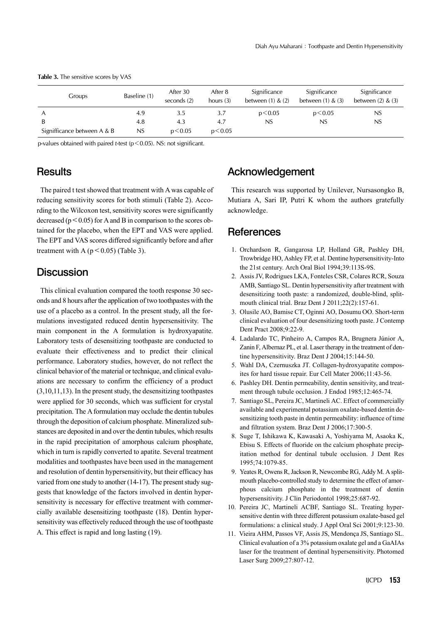|                             | Groups | Baseline (1) | After 30<br>seconds (2) | After 8<br>hours $(3)$ | Significance<br>between $(1)$ & $(2)$ | Significance<br>between $(1)$ & $(3)$ | Significance<br>between $(2)$ & $(3)$ |
|-----------------------------|--------|--------------|-------------------------|------------------------|---------------------------------------|---------------------------------------|---------------------------------------|
|                             |        | 4.9          | 3.5                     | 3.7                    | p < 0.05                              | p < 0.05                              | NS                                    |
|                             |        | 4.8          | 4.3                     | 4.7                    | NS.                                   | NS                                    | NS                                    |
| Signifficance between A & B |        | NS           | p < 0.05                | p < 0.05               |                                       |                                       |                                       |

Table 3. The sensitive scores by VAS

p-values obtained with paired *t*-test (p<0.05). NS: not significant.

### **Results**

The paired t test showed that treatment with A was capable of reducing sensitivity scores for both stimuli (Table 2). According to the Wilcoxon test, sensitivity scores were significantly decreased ( $p < 0.05$ ) for A and B in comparison to the scores obtained for the placebo, when the EPT and VAS were applied. The EPT and VAS scores differed significantly before and after treatment with A ( $p < 0.05$ ) (Table 3).

### **Discussion**

This clinical evaluation compared the tooth response 30 seconds and 8 hours after the application of two toothpastes with the use of a placebo as a control. In the present study, all the formulations investigated reduced dentin hypersensitivity. The main component in the A formulation is hydroxyapatite. Laboratory tests of desensitizing toothpaste are conducted to evaluate their effectiveness and to predict their clinical performance. Laboratory studies, however, do not reflect the clinical behavior of the material or technique, and clinical evaluations are necessary to confirm the efficiency of a product (3,10,11,13). In the present study, the desensitizing toothpastes were applied for 30 seconds, which was sufficient for crystal precipitation. The A formulation may occlude the dentin tubules through the deposition of calcium phosphate. Mineralized substances are deposited in and over the dentin tubules, which results in the rapid precipitation of amorphous calcium phosphate, which in turn is rapidly converted to apatite. Several treatment modalities and toothpastes have been used in the management and resolution of dentin hypersensitivity, but their efficacy has varied from one study to another (14-17). The present study suggests that knowledge of the factors involved in dentin hypersensitivity is necessary for effective treatment with commercially available desensitizing toothpaste (18). Dentin hypersensitivity was effectively reduced through the use of toothpaste A. This effect is rapid and long lasting (19).

## Acknowledgement

This research was supported by Unilever, Nursasongko B, Mutiara A, Sari IP, Putri K whom the authors gratefully acknowledge.

#### References

- 1. Orchardson R, Gangarosa LP, Holland GR, Pashley DH, Trowbridge HO, Ashley FP, et al. Dentine hypersensitivity-Into the 21st century. Arch Oral Biol 1994;39:113S-9S.
- 2. Assis JV, Rodrigues LKA, Fonteles CSR, Colares RCR, Souza AMB, Santiago SL. Dentin hypersensitivity after treatment with desensitizing tooth paste: a randomized, double-blind, splitmouth clinical trial. Braz Dent J 2011;22(2):157-61.
- 3. Olusile AO, Bamise CT, Oginni AO, Dosumu OO. Short-term clinical evaluation of four desensitizing tooth paste. J Contemp Dent Pract 2008;9:22-9.
- 4. Ladalardo TC, Pinheiro A, Campos RA, Brugnera Júnior A, Zanin F, Albernaz PL, et al. Laser therapy in the treatment of dentine hypersensitivity. Braz Dent J 2004;15:144-50.
- 5. Wahl DA, Czernuszka JT. Collagen-hydroxyapatite composites for hard tissue repair. Eur Cell Mater 2006;11:43-56.
- 6. Pashley DH. Dentin permeability, dentin sensitivity, and treatment through tubule occlusion. J Endod 1985;12:465-74.
- 7. Santiago SL, Pereira JC, Martineli AC. Effect of commercially available and experimental potassium oxalate-based dentin desensitizing tooth paste in dentin permeability: influence of time and filtration system. Braz Dent J 2006;17:300-5.
- 8. Suge T, Ishikawa K, Kawasaki A, Yoshiyama M, Asaoka K, Ebisu S. Effects of fluoride on the calcium phosphate precipitation method for dentinal tubule occlusion. J Dent Res 1995;74:1079-85.
- 9. Yeates R, Owens R, Jackson R, Newcombe RG, Addy M. A splitmouth placebo-controlled study to determine the effect of amorphous calcium phosphate in the treatment of dentin hypersensitivity. J Clin Periodontol 1998;25:687-92.
- 10. Pereira JC, Martineli ACBF, Santiago SL. Treating hypersensitive dentin with three different potassium oxalate-based gel formulations: a clinical study. J Appl Oral Sci 2001;9:123-30.
- 11. Vieira AHM, Passos VF, Assis JS, Mendonça JS, Santiago SL. Clinical evaluation of a 3% potassium oxalate gel and a GaAIAs laser for the treatment of dentinal hypersensitivity. Photomed Laser Surg 2009;27:807-12.